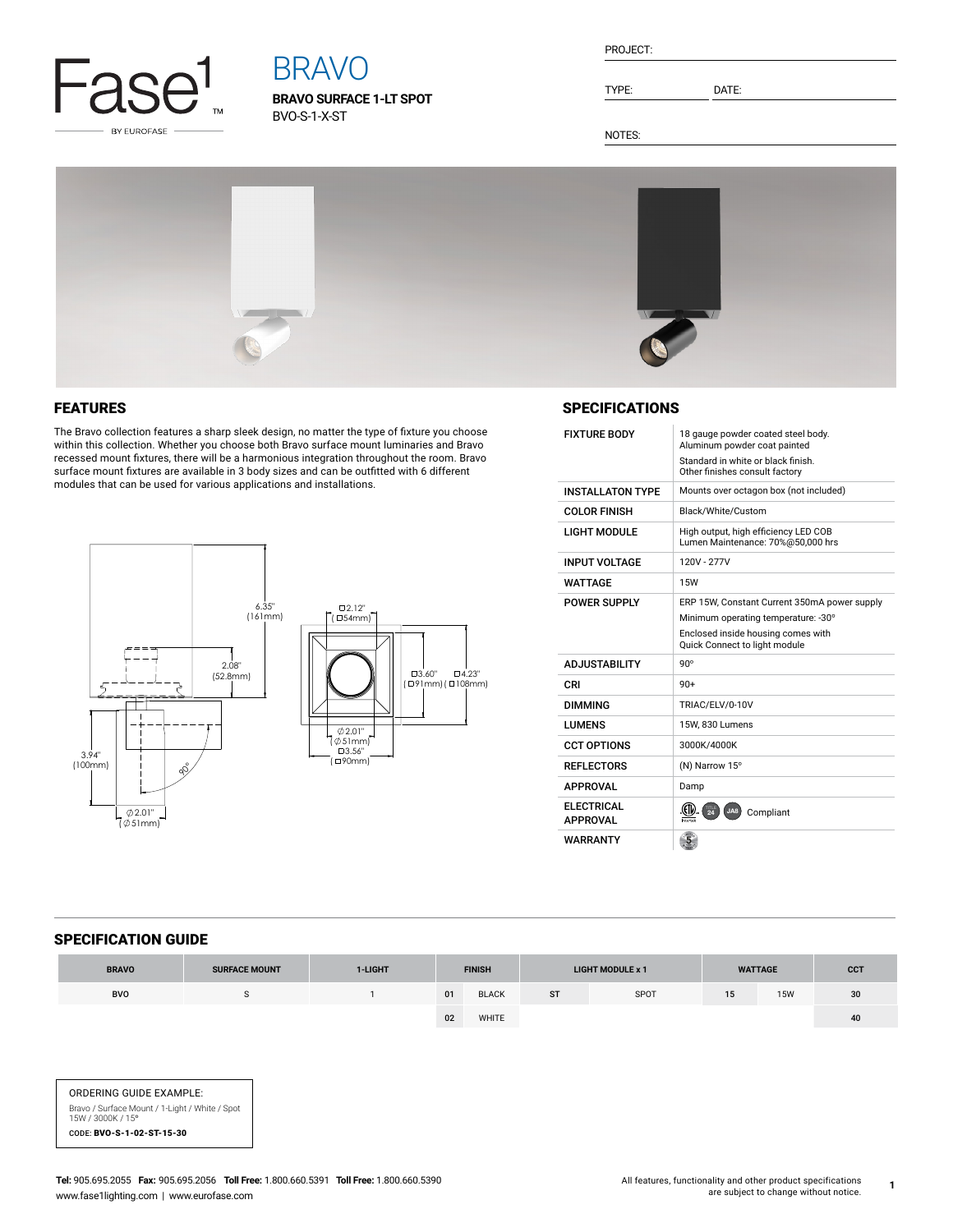

# BRAVO

**BRAVO SURFACE 1-LT SPOT** BVO-S-1-X-ST

| PROJECT: |  |
|----------|--|
|          |  |

TYPE: DATE:

NOTES:



## FEATURES

The Bravo collection features a sharp sleek design, no matter the type of fixture you choose within this collection. Whether you choose both Bravo surface mount luminaries and Bravo recessed mount fixtures, there will be a harmonious integration throughout the room. Bravo surface mount fixtures are available in 3 body sizes and can be outfitted with 6 different modules that can be used for various applications and installations.



## **SPECIFICATIONS**

| <b>FIXTURE BODY</b>                   | 18 gauge powder coated steel body.<br>Aluminum powder coat painted<br>Standard in white or black finish.<br>Other finishes consult factory                 |  |  |  |  |  |
|---------------------------------------|------------------------------------------------------------------------------------------------------------------------------------------------------------|--|--|--|--|--|
| <b>INSTALLATON TYPE</b>               | Mounts over octagon box (not included)                                                                                                                     |  |  |  |  |  |
| <b>COLOR FINISH</b>                   | Black/White/Custom                                                                                                                                         |  |  |  |  |  |
| <b>LIGHT MODULE</b>                   | High output, high efficiency LED COB<br>Lumen Maintenance: 70%@50,000 hrs                                                                                  |  |  |  |  |  |
| <b>INPUT VOLTAGE</b>                  | 120V - 277V                                                                                                                                                |  |  |  |  |  |
| WATTAGF                               | <b>15W</b>                                                                                                                                                 |  |  |  |  |  |
| <b>POWER SUPPLY</b>                   | ERP 15W, Constant Current 350mA power supply<br>Minimum operating temperature: -30°<br>Enclosed inside housing comes with<br>Quick Connect to light module |  |  |  |  |  |
| <b>ADJUSTABILITY</b>                  | $90^\circ$                                                                                                                                                 |  |  |  |  |  |
| CRI                                   | $90+$                                                                                                                                                      |  |  |  |  |  |
| <b>DIMMING</b>                        | TRIAC/ELV/0-10V                                                                                                                                            |  |  |  |  |  |
| <b>LUMENS</b>                         | 15W. 830 Lumens                                                                                                                                            |  |  |  |  |  |
| <b>CCT OPTIONS</b>                    | 3000K/4000K                                                                                                                                                |  |  |  |  |  |
| <b>REFLECTORS</b>                     | (N) Narrow 15°                                                                                                                                             |  |  |  |  |  |
| APPROVAL                              | Damp                                                                                                                                                       |  |  |  |  |  |
| <b>FI FCTRICAL</b><br><b>APPROVAL</b> | $\overline{24}$<br>JA8<br>Compliant<br>Intertei                                                                                                            |  |  |  |  |  |
| <b>WARRANTY</b>                       |                                                                                                                                                            |  |  |  |  |  |

### SPECIFICATION GUIDE

| <b>BRAVO</b> | <b>SURFACE MOUNT</b> | 1-LIGHT | <b>FINISH</b> |              |           |      |    | <b>LIGHT MODULE x 1</b> |    | <b>WATTAGE</b> | <b>CCT</b> |
|--------------|----------------------|---------|---------------|--------------|-----------|------|----|-------------------------|----|----------------|------------|
| <b>BVO</b>   |                      |         | 01            | <b>BLACK</b> | <b>ST</b> | SPOT | 15 | <b>15W</b>              | 30 |                |            |
|              |                      |         | 02            | WHITE        |           |      |    |                         | 40 |                |            |

ORDERING GUIDE EXAMPLE: Bravo / Surface Mount / 1-Light / White / Spot<br>15W / 3000K / 15° CODE: BVO-S-1-02-ST-15-30

**1**